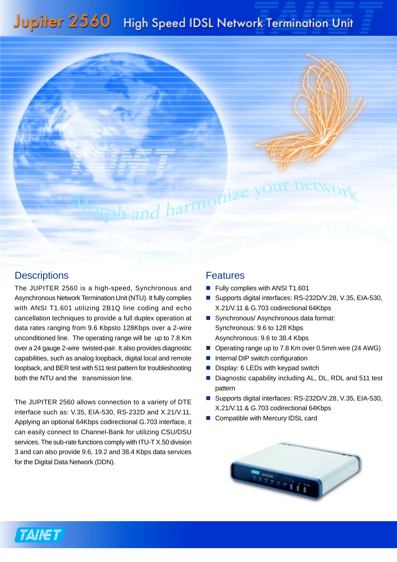## Jupiter 2560 High Speed IDSL Network Termination Unit



## **Descriptions**

The JUPITER 2560 is a high-speed, Synchronous and Asynchronous Network Termination Unit (NTU). It fully complies with ANSI T1.601 utilizing 2B1Q line coding and echo cancellation techniques to provide a full duplex operation at data rates ranging from 9.6 Kbpsto 128Kbps over a 2-wire unconditioned line. The operating range will be up to 7.8 Km over a 24 gauge 2-wire twisted-pair. It also provides diagnostic capabilities, such as analog loopback, digital local and remote loopback, and BER test with 511 test pattern for troubleshooting both the NTU and the transmission line.

The JUPITER 2560 allows connection to a variety of DTE interface such as: V.35, EIA-530, RS-232D and X.21/V.11. Applying an optional 64Kbps codirectional G.703 interface, it can easily connect to Channel-Bank for utilizing CSU/DSU services. The sub-rate functions comply with ITU-T X.50 division 3 and can also provide 9.6, 19.2 and 38.4 Kbps data services for the Digital Data Network (DDN).

## Features

- Fully complies with ANSI T1.601
- Supports digital interfaces: RS-232D/V.28, V.35, EIA-530, X.21/V.11 & G.703 codirectional 64Kbps
- Synchronous/ Asynchronous data format: Synchronous: 9.6 to 128 Kbps Asynchronous: 9.6 to 38.4 Kbps
- Operating range up to 7.8 Km over 0.5mm wire (24 AWG)
- Internal DIP switch configuration
- Display: 6 LEDs with keypad switch
- Diagnostic capability including AL, DL, RDL and 511 test pattern
- Supports digital interfaces: RS-232D/V.28, V.35, EIA-530, X.21/V.11 & G.703 codirectional 64Kbps
- Compatible with Mercury IDSL card



TAINST